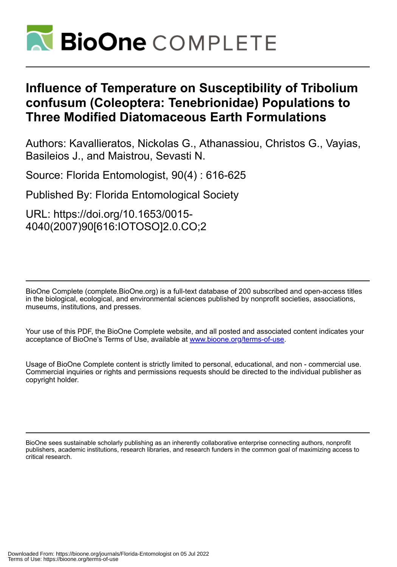

# **Influence of Temperature on Susceptibility of Tribolium confusum (Coleoptera: Tenebrionidae) Populations to Three Modified Diatomaceous Earth Formulations**

Authors: Kavallieratos, Nickolas G., Athanassiou, Christos G., Vayias, Basileios J., and Maistrou, Sevasti N.

Source: Florida Entomologist, 90(4) : 616-625

Published By: Florida Entomological Society

URL: https://doi.org/10.1653/0015- 4040(2007)90[616:IOTOSO]2.0.CO;2

BioOne Complete (complete.BioOne.org) is a full-text database of 200 subscribed and open-access titles in the biological, ecological, and environmental sciences published by nonprofit societies, associations, museums, institutions, and presses.

Your use of this PDF, the BioOne Complete website, and all posted and associated content indicates your acceptance of BioOne's Terms of Use, available at www.bioone.org/terms-of-use.

Usage of BioOne Complete content is strictly limited to personal, educational, and non - commercial use. Commercial inquiries or rights and permissions requests should be directed to the individual publisher as copyright holder.

BioOne sees sustainable scholarly publishing as an inherently collaborative enterprise connecting authors, nonprofit publishers, academic institutions, research libraries, and research funders in the common goal of maximizing access to critical research.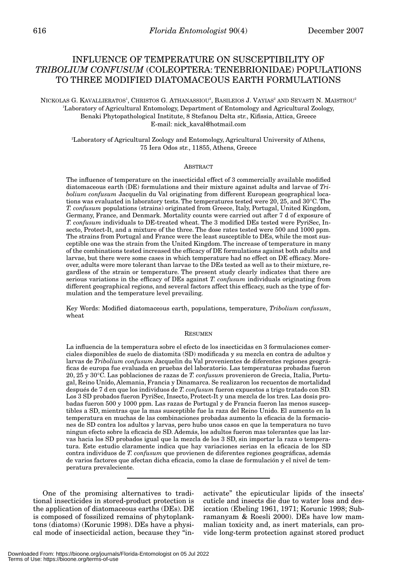# INFLUENCE OF TEMPERATURE ON SUSCEPTIBILITY OF *TRIBOLIUM CONFUSUM* (COLEOPTERA: TENEBRIONIDAE) POPULATIONS TO THREE MODIFIED DIATOMACEOUS EARTH FORMULATIONS

# NICKOLAS G. KAVALLIERATOS', CHRISTOS G. ATHANASSIOU<sup>2</sup>, BASILEIOS J. VAYIAS<sup>2</sup> AND SEVASTI N. MAISTROU<sup>2</sup> 1 Laboratory of Agricultural Entomology, Department of Entomology and Agricultural Zoology, Benaki Phytopathological Institute, 8 Stefanou Delta str., Kifissia, Attica, Greece E-mail: nick\_kaval@hotmail.com

2 Laboratory of Agricultural Zoology and Entomology, Agricultural University of Athens, 75 Iera Odos str., 11855, Athens, Greece

### ABSTRACT

The influence of temperature on the insecticidal effect of 3 commercially available modified diatomaceous earth (DE) formulations and their mixture against adults and larvae of *Tribolium confusum* Jacquelin du Val originating from different European geographical locations was evaluated in laboratory tests. The temperatures tested were 20, 25, and 30°C. The *T. confusum* populations (strains) originated from Greece, Italy, Portugal, United Kingdom, Germany, France, and Denmark. Mortality counts were carried out after 7 d of exposure of *T. confusum* individuals to DE-treated wheat. The 3 modified DEs tested were PyriSec, Insecto, Protect-It, and a mixture of the three. The dose rates tested were 500 and 1000 ppm. The strains from Portugal and France were the least susceptible to DEs, while the most susceptible one was the strain from the United Kingdom. The increase of temperature in many of the combinations tested increased the efficacy of DE formulations against both adults and larvae, but there were some cases in which temperature had no effect on DE efficacy. Moreover, adults were more tolerant than larvae to the DEs tested as well as to their mixture, regardless of the strain or temperature. The present study clearly indicates that there are serious variations in the efficacy of DEs against *T. confusum* individuals originating from different geographical regions, and several factors affect this efficacy, such as the type of formulation and the temperature level prevailing.

Key Words: Modified diatomaceous earth, populations, temperature, *Tribolium confusum*, wheat

#### RESUMEN

La influencia de la temperatura sobre el efecto de los insecticidas en 3 formulaciones comerciales disponibles de suelo de diatomita (SD) modificada y su mezcla en contra de adultos y larvas de *Tribolium confusum* Jacquelin du Val provenientes de diferentes regiones geográficas de europa fue evaluada en pruebas del laboratorio. Las temperaturas probadas fueron 20, 25 y 30°C. Las poblaciones de razas de *T. confusum* provenieron de Grecia, Italia, Portugal, Reino Unido, Alemania, Francia y Dinamarca. Se realizaron los recuentos de mortalidad después de 7 d en que los individuos de *T. confusum* fueron expuestos a trigo tratado con SD. Los 3 SD probados fueron PyriSec, Insecto, Protect-It y una mezcla de los tres. Las dosis probadas fueron 500 y 1000 ppm. Las razas de Portugal y de Francia fueron las menos susceptibles a SD, mientras que la mas susceptible fue la raza del Reino Unido. El aumento en la temperatura en muchas de las combinaciones probadas aumento la eficacia de la formaciones de SD contra los adultos y larvas, pero hubo unos casos en que la temperatura no tuvo ningun efecto sobre la eficacia de SD. Además, los adultos fueron mas tolerantes que las larvas hacia los SD probados igual que la mezcla de los 3 SD, sin importar la raza o temperatura. Este estudio claramente indica que hay variaciones serias en la eficacia de los SD contra individuos de *T. confusum* que provienen de diferentes regiones geográficas, además de varios factores que afectan dicha eficacia, como la clase de formulación y el nivel de temperatura prevaleciente.

One of the promising alternatives to traditional insecticides in stored-product protection is the application of diatomaceous earths (DEs). DE is composed of fossilized remains of phytoplanktons (diatoms) (Korunic 1998). DEs have a physical mode of insecticidal action, because they "in-

activate" the epicuticular lipids of the insects' cuticle and insects die due to water loss and desiccation (Ebeling 1961, 1971; Korunic 1998; Subramanyam & Roesli 2000). DEs have low mammalian toxicity and, as inert materials, can provide long-term protection against stored product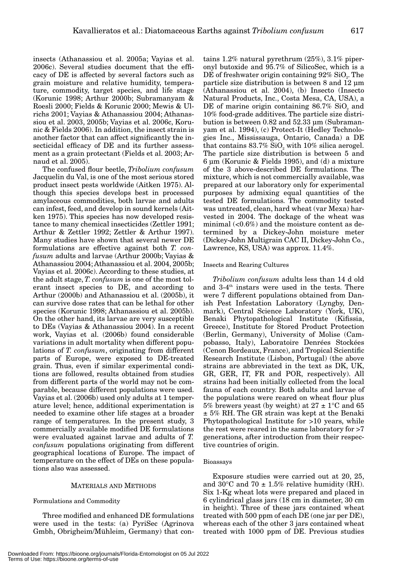insects (Athanassiou et al. 2005a; Vayias et al. 2006c). Several studies document that the efficacy of DE is affected by several factors such as grain moisture and relative humidity, temperature, commodity, target species, and life stage (Korunic 1998; Arthur 2000b; Subramanyam & Roesli 2000; Fields & Korunic 2000; Mewis & Ulrichs 2001; Vayias & Athanassiou 2004; Athanassiou et al. 2003, 2005b; Vayias et al. 2006c, Korunic & Fields 2006). In addition, the insect strain is another factor that can affect significantly the insecticidal efficacy of DE and its further assessment as a grain protectant (Fields et al. 2003; Arnaud et al. 2005).

The confused flour beetle, *Tribolium confusum* Jacquelin du Val, is one of the most serious stored product insect pests worldwide (Aitken 1975). Although this species develops best in processed amylaceous commodities, both larvae and adults can infest, feed, and develop in sound kernels (Aitken 1975). This species has now developed resistance to many chemical insecticides (Zettler 1991; Arthur & Zettler 1992; Zettler & Arthur 1997). Many studies have shown that several newer DE formulations are effective against both *T. confusum* adults and larvae (Arthur 2000b; Vayias & Athanassiou 2004; Athanassiou et al. 2004, 2005b; Vayias et al. 2006c). According to these studies, at the adult stage, *T. confusum* is one of the most tolerant insect species to DE, and according to Arthur (2000b) and Athanassiou et al. (2005b), it can survive dose rates that can be lethal for other species (Korunic 1998; Athanassiou et al. 2005b). On the other hand, its larvae are very susceptible to DEs (Vayias & Athanassiou 2004). In a recent work, Vayias et al. (2006b) found considerable variations in adult mortality when different populations of *T. confusum*, originating from different parts of Europe, were exposed to DE-treated grain. Thus, even if similar experimental conditions are followed, results obtained from studies from different parts of the world may not be comparable, because different populations were used. Vayias et al. (2006b) used only adults at 1 temperature level; hence, additional experimentation is needed to examine other life stages at a broader range of temperatures. In the present study, 3 commercially available modified DE formulations were evaluated against larvae and adults of *T. confusum* populations originating from different geographical locations of Europe. The impact of temperature on the effect of DEs on these populations also was assessed.

#### MATERIALS AND METHODS

#### Formulations and Commodity

Three modified and enhanced DE formulations were used in the tests: (a) PyriSec (Agrinova Gmbh, Obrigheim/Mühleim, Germany) that con-

tains 1.2% natural pyrethrum (25%), 3.1% piperonyl butoxide and 95.7% of SilicoSec, which is a DE of freshwater origin containing  $92\%$  SiO<sub>2</sub>. The particle size distribution is between 8 and 12 µm (Athanassiou et al. 2004), (b) Insecto (Insecto Natural Products, Inc., Costa Mesa, CA, USA), a DE of marine origin containing  $86.7\%$  SiO<sub>2</sub> and 10% food-grade additives. The particle size distribution is between 0.82 and 52.33 µm (Subramanyam et al. 1994), (c) Protect-It (Hedley Technologies Inc., Mississauga, Ontario, Canada) a DE that contains  $83.7\%$  SiO<sub>2</sub> with 10% silica aerogel. The particle size distribution is between 5 and 6 µm (Korunic & Fields 1995), and (d) a mixture of the 3 above-described DE formulations. The mixture, which is not commercially available, was prepared at our laboratory only for experimental purposes by admixing equal quantities of the tested DE formulations. The commodity tested was untreated, clean, hard wheat (var Mexa) harvested in 2004. The dockage of the wheat was minimal  $\langle$  <0.6%) and the moisture content as determined by a Dickey-John moisture meter (Dickey-John Multigrain CAC II, Dickey-John Co., Lawrence, KS, USA) was approx. 11.4%.

#### Insects and Rearing Cultures

*Tribolium confusum* adults less than 14 d old and  $3-4$ <sup>th</sup> instars were used in the tests. There were 7 different populations obtained from Danish Pest Infestation Laboratory (Lyngby, Denmark), Central Science Laboratory (York, UK), Benaki Phytopathological Institute (Kifissia, Greece), Institute for Stored Product Protection (Berlin, Germany), University of Molise (Campobasso, Italy), Laboratoire Denrées Stockées (Cenon Bordeaux, France), and Tropical Scientific Research Institute (Lisbon, Portugal) (the above strains are abbreviated in the text as DK, UK, GR, GER, IT, FR and POR, respectively). All strains had been initially collected from the local fauna of each country. Both adults and larvae of the populations were reared on wheat flour plus 5% brewers yeast (by weight) at  $27 \pm 1$ °C and 65 ± 5% RH. The GR strain was kept at the Benaki Phytopathological Institute for >10 years, while the rest were reared in the same laboratory for >7 generations, after introduction from their respective countries of origin.

#### Bioassays

Exposure studies were carried out at 20, 25, and 30 $\degree$ C and 70  $\pm$  1.5% relative humidity (RH). Six 1-Kg wheat lots were prepared and placed in 6 cylindrical glass jars (18 cm in diameter, 30 cm in height). Three of these jars contained wheat treated with 500 ppm of each DE (one jar per DE), whereas each of the other 3 jars contained wheat treated with 1000 ppm of DE. Previous studies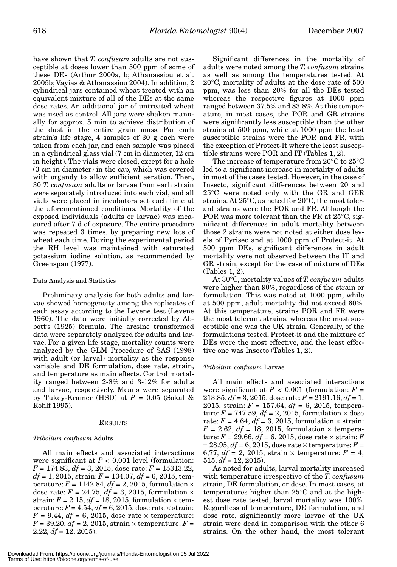have shown that *T. confusum* adults are not susceptible at doses lower than 500 ppm of some of these DEs (Arthur 2000a, b; Athanassiou et al. 2005b; Vayias & Athanassiou 2004). In addition, 2 cylindrical jars contained wheat treated with an equivalent mixture of all of the DEs at the same dose rates. An additional jar of untreated wheat was used as control. All jars were shaken manually for approx. 5 min to achieve distribution of the dust in the entire grain mass. For each strain's life stage, 4 samples of 30 g each were taken from each jar, and each sample was placed in a cylindrical glass vial (7 cm in diameter, 12 cm in height). The vials were closed, except for a hole (3 cm in diameter) in the cap, which was covered with organdy to allow sufficient aeration. Then, 30 *T. confusum* adults or larvae from each strain were separately introduced into each vial, and all vials were placed in incubators set each time at the aforementioned conditions. Mortality of the exposed individuals (adults or larvae) was measured after 7 d of exposure. The entire procedure was repeated 3 times, by preparing new lots of wheat each time. During the experimental period the RH level was maintained with saturated potassium iodine solution, as recommended by Greenspan (1977).

#### Data Analysis and Statistics

Preliminary analysis for both adults and larvae showed homogeneity among the replicates of each assay according to the Levene test (Levene 1960). The data were initially corrected by Abbott's (1925) formula. The arcsine transformed data were separately analyzed for adults and larvae. For a given life stage, mortality counts were analyzed by the GLM Procedure of SAS (1998) with adult (or larval) mortality as the response variable and DE formulation, dose rate, strain, and temperature as main effects. Control mortality ranged between 2-8% and 3-12% for adults and larvae, respectively. Means were separated by Tukey-Kramer (HSD) at  $P = 0.05$  (Sokal & Rohlf 1995).

#### RESULTS

#### *Tribolium confusum* Adults

All main effects and associated interactions were significant at  $P < 0.001$  level (formulation: *F* = 174.83, *df* = 3, 2015, dose rate: *F* = 15313.22, *df* = 1, 2015, strain: *F* = 134.07, *df* = 6, 2015, temperature:  $F = 1142.84$ ,  $df = 2$ , 2015, formulation  $\times$ dose rate:  $F = 24.75$ ,  $df = 3$ , 2015, formulation  $\times$ strain:  $F = 2.15$ ,  $df = 18$ , 2015, formulation  $\times$  temperature:  $F = 4.54$ ,  $df = 6$ , 2015, dose rate  $\times$  strain:  $F = 9.44$ ,  $df = 6$ , 2015, dose rate  $\times$  temperature:  $F = 39.20, df = 2, 2015, strain \times temperature: F =$  $2.22, df = 12, 2015.$ 

Significant differences in the mortality of adults were noted among the *T. confusum* strains as well as among the temperatures tested. At 20°C, mortality of adults at the dose rate of 500 ppm, was less than 20% for all the DEs tested whereas the respective figures at 1000 ppm ranged between 37.5% and 83.8%. At this temperature, in most cases, the POR and GR strains were significantly less susceptible than the other strains at 500 ppm, while at 1000 ppm the least susceptible strains were the POR and FR, with the exception of Protect-It where the least susceptible strains were POR and IT (Tables 1, 2).

The increase of temperature from 20°C to 25°C led to a significant increase in mortality of adults in most of the cases tested. However, in the case of Insecto, significant differences between 20 and 25°C were noted only with the GR and GER strains. At 25°C, as noted for 20°C, the most tolerant strains were the POR and FR. Although the POR was more tolerant than the FR at 25°C, significant differences in adult mortality between those 2 strains were not noted at either dose levels of Pyrisec and at 1000 ppm of Protect-it. At 500 ppm DEs, significant differences in adult mortality were not observed between the IT and GR strain, except for the case of mixture of DEs (Tables 1, 2).

At 30°C, mortality values of *T. confusum* adults were higher than 90%, regardless of the strain or formulation. This was noted at 1000 ppm, while at 500 ppm, adult mortality did not exceed 60%. At this temperature, strains POR and FR were the most tolerant strains, whereas the most susceptible one was the UK strain. Generally, of the formulations tested, Protect-it and the mixture of DEs were the most effective, and the least effective one was Insecto (Tables 1, 2).

#### *Tribolium confusum* Larvae

All main effects and associated interactions were significant at  $P < 0.001$  (formulation:  $F =$  $213.85, df = 3, 2015, dose rate: F = 2191.16, df = 1,$ 2015, strain: *F* = 157.64, *df* = 6, 2015, temperature:  $F = 747.59$ ,  $df = 2$ , 2015, formulation  $\times$  dose rate:  $F = 4.64$ ,  $df = 3$ , 2015, formulation  $\times$  strain:  $F = 2.62$ ,  $df = 18$ , 2015, formulation  $\times$  temperature:  $F = 29.66, df = 6, 2015,$  dose rate  $\times$  strain:  $F$ *=* 28.95, *df* = 6, 2015, dose rate × temperature: *F* = 6,77,  $df = 2$ , 2015, strain  $\times$  temperature:  $F = 4$ ,  $515, df = 12, 2015.$ 

As noted for adults, larval mortality increased with temperature irrespective of the *T. confusum* strain, DE formulation, or dose. In most cases, at temperatures higher than 25°C and at the highest dose rate tested, larval mortality was 100%. Regardless of temperature, DE formulation, and dose rate, significantly more larvae of the UK strain were dead in comparison with the other 6 strains. On the other hand, the most tolerant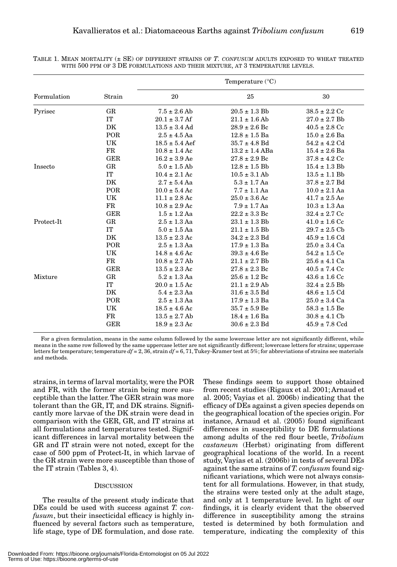| Formulation | Strain      | Temperature $(^{\circ}C)$ |                    |                   |
|-------------|-------------|---------------------------|--------------------|-------------------|
|             |             | 20                        | 25                 | 30                |
| Pyrisec     | GR          | $7.5 \pm 2.6$ Ab          | $20.5 \pm 1.3$ Bb  | $38.5 \pm 2.2$ Cc |
|             | IT          | $20.1 \pm 3.7$ Af         | $21.1 \pm 1.6$ Ab  | $27.0 \pm 2.7$ Bb |
|             | DK          | $13.5 \pm 3.4$ Ad         | $28.9 \pm 2.6$ Bc  | $40.5 \pm 2.8$ Cc |
|             | POR         | $2.5 \pm 4.5$ Aa          | $12.8 \pm 1.5$ Ba  | $15.0 \pm 2.6$ Ba |
|             | UK          | $18.5 \pm 5.4$ Aef        | $35.7 \pm 4.8$ Bd  | $54.2 \pm 4.2$ Cd |
|             | $_{\rm FR}$ | $10.8 \pm 1.4$ Ac         | $13.2 \pm 1.4$ ABa | $15.4 \pm 2.6$ Ba |
|             | <b>GER</b>  | $16.2 \pm 3.9$ Ae         | $27.8 \pm 2.9$ Bc  | $37.8 \pm 4.2$ Cc |
| Insecto     | GR          | $5.0 \pm 1.5$ Ab          | $12.8 \pm 1.5$ Bb  | $15.4 \pm 1.3$ Bb |
|             | IT          | $10.4 \pm 2.1$ Ac         | $10.5 \pm 3.1$ Ab  | $13.5 \pm 1.1$ Bb |
|             | DK          | $2.7 \pm 5.4$ Aa          | $5.3 \pm 1.7$ Aa   | $37.8 \pm 2.7$ Bd |
|             | POR         | $10.0 \pm 5.4$ Ac         | $7.7 \pm 1.1$ Aa   | $10.0 \pm 2.1$ Aa |
|             | UK          | $11.1 \pm 2.8$ Ac         | $25.0 \pm 3.6$ Ac  | $41.7 \pm 2.5$ Ae |
|             | $_{\rm FR}$ | $10.8 \pm 2.9$ Ac         | $7.9 \pm 1.7$ Aa   | $10.3 \pm 1.3$ Aa |
|             | <b>GER</b>  | $1.5 \pm 1.2$ Aa          | $22.2 \pm 3.3$ Bc  | $32.4 \pm 2.7$ Cc |
| Protect-It  | $_{\rm GR}$ | $2.5 \pm 1.3$ Aa          | $23.1 \pm 1.3$ Bb  | $41.0 \pm 1.6$ Cc |
|             | IT          | $5.0 \pm 1.5$ Aa          | $21.1 \pm 1.5$ Bb  | $29.7 \pm 2.5$ Cb |
|             | DK          | $13.5 \pm 2.3$ Ac         | $34.2 \pm 2.3$ Bd  | $45.9 \pm 1.6$ Cd |
|             | <b>POR</b>  | $2.5 \pm 1.3$ Aa          | $17.9 \pm 1.3$ Ba  | $25.0 \pm 3.4$ Ca |
|             | UK          | $14.8 \pm 4.6$ Ac         | $39.3 \pm 4.6$ Be  | $54.2 \pm 1.5$ Ce |
|             | $_{\rm FR}$ | $10.8 \pm 2.7$ Ab         | $21.1 \pm 2.7$ Bb  | $25.6 \pm 4.1$ Ca |
|             | <b>GER</b>  | $13.5 \pm 2.3$ Ac         | $27.8 \pm 2.3$ Bc  | $40.5 \pm 7.4$ Cc |
| Mixture     | GR          | $5.2 \pm 1.3$ Aa          | $25.6 \pm 1.2$ Bc  | $43.6 \pm 1.6$ Cc |
|             | IT          | $20.0 \pm 1.5$ Ac         | $21.1 \pm 2.9$ Ab  | $32.4 \pm 2.5$ Bb |
|             | DK          | $5.4 \pm 2.3$ Aa          | $31.6 \pm 3.5$ Bd  | $48.6 \pm 1.5$ Cd |
|             | POR.        | $2.5 + 1.3$ Aa            | $17.9 + 1.3$ Ba    | $25.0 + 3.4$ Ca   |

TABLE 1. MEAN MORTALITY (± SE) OF DIFFERENT STRAINS OF *T. CONFUSUM* ADULTS EXPOSED TO WHEAT TREATED WITH 500 PPM OF 3 DE FORMULATIONS AND THEIR MIXTURE, AT 3 TEMPERATURE LEVELS.

For a given formulation, means in the same column followed by the same lowercase letter are not significantly different, while means in the same row followed by the same uppercase letter are not significantly different; lowercase letters for strains; uppercase letters for temperature; temperature *df* = 2, 36, strain *df* = 6, 71, Tukey-Kramer test at 5%; for abbreviations of strains see materials and methods.

UK  $18.5 \pm 4.6$  Ac  $35.7 \pm 5.9$  Be  $58.3 \pm 1.5$  Be FR  $13.5 \pm 2.7$  Ab  $18.4 \pm 1.6$  Ba  $30.8 \pm 4.1$  Cb GER  $18.9 \pm 2.3 \text{ Ac}$   $30.6 \pm 2.3 \text{ Bd}$   $45.9 \pm 7.8 \text{ Ccd}$ 

strains, in terms of larval mortality, were the POR and FR, with the former strain being more susceptible than the latter. The GER strain was more tolerant than the GR, IT, and DK strains. Significantly more larvae of the DK strain were dead in comparison with the GER, GR, and IT strains at all formulations and temperatures tested. Significant differences in larval mortality between the GR and IT strain were not noted, except for the case of 500 ppm of Protect-It, in which larvae of the GR strain were more susceptible than those of the IT strain (Tables 3, 4).

# **DISCUSSION**

The results of the present study indicate that DEs could be used with success against *T. confusum*, but their insecticidal efficacy is highly influenced by several factors such as temperature, life stage, type of DE formulation, and dose rate.

These findings seem to support those obtained from recent studies (Rigaux et al. 2001; Arnaud et al. 2005; Vayias et al. 2006b) indicating that the efficacy of DEs against a given species depends on the geographical location of the species origin. For instance, Arnaud et al. (2005) found significant differences in susceptibility to DE formulations among adults of the red flour beetle, *Tribolium castaneum* (Herbst) originating from different geographical locations of the world. In a recent study, Vayias et al. (2006b) in tests of several DEs against the same strains of *T. confusum* found significant variations, which were not always consistent for all formulations. However, in that study, the strains were tested only at the adult stage, and only at 1 temperature level. In light of our findings, it is clearly evident that the observed difference in susceptibility among the strains tested is determined by both formulation and temperature, indicating the complexity of this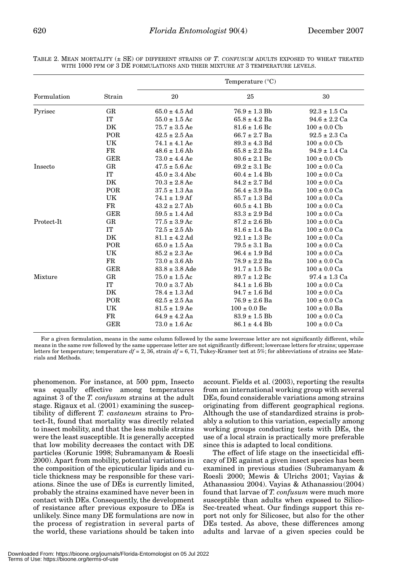| Formulation | Strain      | Temperature $(^{\circ}C)$ |                   |                          |
|-------------|-------------|---------------------------|-------------------|--------------------------|
|             |             | 20                        | 25                | 30                       |
| Pyrisec     | $_{\rm GR}$ | $65.0 \pm 4.5$ Ad         | $76.9 \pm 1.3$ Bb | $92.3 \pm 1.5$ Ca        |
|             | IT          | $55.0 \pm 1.5$ Ac         | $65.8 \pm 4.2$ Ba | $94.6 \pm 2.2$ Ca        |
|             | DK          | $75.7 \pm 3.5$ Ae         | $81.6 \pm 1.6$ Bc | $100 \pm 0.0 \text{ Cb}$ |
|             | POR         | $42.5 \pm 2.5$ Aa         | $66.7 \pm 2.7$ Ba | $92.5 \pm 2.3$ Ca        |
|             | UK          | $74.1 \pm 4.1$ Ae         | $89.3 \pm 4.3$ Bd | $100 \pm 0.0$ Cb         |
|             | $_{\rm FR}$ | $48.6 \pm 1.6$ Ab         | $65.8 \pm 2.2$ Ba | $94.9 \pm 1.4$ Ca        |
|             | GER         | $73.0 \pm 4.4$ Ae         | $80.6 \pm 2.1$ Bc | $100 \pm 0.0$ Cb         |
| Insecto     | GR          | $47.5 \pm 5.6$ Ac         | $69.2 \pm 3.1$ Bc | $100 \pm 0.0$ Ca         |
|             | IT          | $45.0 \pm 3.4$ Abc        | $60.4 \pm 1.4$ Bb | $100 \pm 0.0$ Ca         |
|             | DK          | $70.3 \pm 2.8$ Ae         | $84.2 \pm 2.7$ Bd | $100 \pm 0.0$ Ca         |
|             | POR         | $37.5 \pm 1.3$ Aa         | $56.4 \pm 3.9$ Ba | $100 \pm 0.0$ Ca         |
|             | UK          | $74.1 \pm 1.9$ Af         | $85.7 \pm 1.3$ Bd | $100 \pm 0.0$ Ca         |
|             | $_{\rm FR}$ | $43.2 \pm 2.7$ Ab         | $60.5 \pm 4.1$ Bb | $100 \pm 0.0$ Ca         |
|             | <b>GER</b>  | $59.5 \pm 1.4$ Ad         | $83.3 \pm 2.9$ Bd | $100 \pm 0.0$ Ca         |
| Protect-It  | $_{\rm GR}$ | $77.5 \pm 3.9$ Ac         | $87.2 \pm 2.6$ Bb | $100 \pm 0.0$ Ca         |
|             | $\rm IT$    | $72.5 \pm 2.5$ Ab         | $81.6 \pm 1.4$ Ba | $100 \pm 0.0$ Ca         |
|             | DK          | $81.1 \pm 4.2$ Ad         | $92.1 \pm 1.3$ Bc | $100 \pm 0.0$ Ca         |
|             | POR         | $65.0 \pm 1.5$ Aa         | $79.5 \pm 3.1$ Ba | $100 \pm 0.0$ Ca         |
|             | UK          | $85.2 \pm 2.3$ Ae         | $96.4 \pm 1.9$ Bd | $100 \pm 0.0$ Ca         |
|             | FR          | $73.0 \pm 3.6$ Ab         | $78.9 \pm 2.2$ Ba | $100 \pm 0.0$ Ca         |
|             | GER         | $83.8 \pm 3.8$ Ade        | $91.7 \pm 1.5$ Bc | $100 \pm 0.0$ Ca         |
| Mixture     | $_{\rm GR}$ | $75.0 \pm 1.5$ Ac         | $89.7 \pm 1.2$ Bc | $97.4 \pm 1.3$ Ca        |
|             | IT          | $70.0 \pm 3.7$ Ab         | $84.1 \pm 1.6$ Bb | $100 \pm 0.0$ Ca         |
|             | DK          | $78.4 \pm 1.3$ Ad         | $94.7 \pm 1.6$ Bd | $100 \pm 0.0$ Ca         |
|             | POR         | $62.5 \pm 2.5$ Aa         | 76.9 ± 2.6 Ba     | $100 \pm 0.0$ Ca         |
|             | UK          | $81.5 \pm 1.9$ Ae         | $100 \pm 0.0$ Be  | $100 \pm 0.0$ Ba         |
|             | FR          | $64.9 \pm 4.2$ Aa         | $83.9 \pm 1.5$ Bb | $100 \pm 0.0$ Ca         |
|             | <b>GER</b>  | $73.0 \pm 1.6$ Ac         | $86.1 \pm 4.4$ Bb | $100 \pm 0.0$ Ca         |

TABLE 2. MEAN MORTALITY (± SE) OF DIFFERENT STRAINS OF *T. CONFUSUM* ADULTS EXPOSED TO WHEAT TREATED WITH 1000 PPM OF 3 DE FORMULATIONS AND THEIR MIXTURE AT 3 TEMPERATURE LEVELS.

For a given formulation, means in the same column followed by the same lowercase letter are not significantly different, while means in the same row followed by the same uppercase letter are not significantly different; lowercase letters for strains; uppercase letters for temperature; temperature *df* = 2, 36, strain *df* = 6, 71, Tukey-Kramer test at 5%; for abbreviations of strains see Materials and Methods.

phenomenon. For instance, at 500 ppm, Insecto was equally effective among temperatures against 3 of the *T. confusum* strains at the adult stage. Rigaux et al. (2001) examining the susceptibility of different *T. castaneum* strains to Protect-It, found that mortality was directly related to insect mobility, and that the less mobile strains were the least susceptible. It is generally accepted that low mobility decreases the contact with DE particles (Korunic 1998; Subramanyam & Roesli 2000). Apart from mobility, potential variations in the composition of the epicuticular lipids and cuticle thickness may be responsible for these variations. Since the use of DEs is currently limited, probably the strains examined have never been in contact with DEs. Consequently, the development of resistance after previous exposure to DEs is unlikely. Since many DE formulations are now in the process of registration in several parts of the world, these variations should be taken into

account. Fields et al. (2003), reporting the results from an international working group with several DEs, found considerable variations among strains originating from different geographical regions. Although the use of standardized strains is probably a solution to this variation, especially among working groups conducting tests with DEs, the use of a local strain is practically more preferable since this is adapted to local conditions.

The effect of life stage on the insecticidal efficacy of DE against a given insect species has been examined in previous studies (Subramanyam & Roesli 2000; Mewis & Ulrichs 2001; Vayias & Athanassiou 2004). Vayias & Athanassiou(2004) found that larvae of *T. confusum* were much more susceptible than adults when exposed to Silico-Sec-treated wheat. Our findings support this report not only for Silicosec, but also for the other DEs tested. As above, these differences among adults and larvae of a given species could be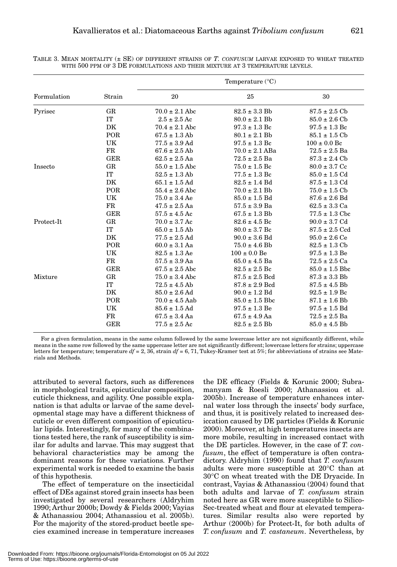|             |             | Temperature $(^{\circ}C)$ |                    |                           |
|-------------|-------------|---------------------------|--------------------|---------------------------|
| Formulation | Strain      | 20                        | 25                 | 30                        |
| Pyrisec     | GR          | $70.0 \pm 2.1$ Abc        | $82.5 \pm 3.3$ Bb  | $87.5 \pm 2.5$ Cb         |
|             | <b>IT</b>   | $2.5 \pm 2.5$ Ac          | $80.0 \pm 2.1$ Bb  | $85.0 \pm 2.6$ Cb         |
|             | DK          | $70.4 \pm 2.1$ Abc        | $97.3 \pm 1.3$ Bc  | $97.5 \pm 1.3$ Bc         |
|             | POR         | $67.5 \pm 1.3$ Ab         | $80.1 \pm 2.1$ Bb  | $85.1 \pm 1.5 \text{ Cb}$ |
|             | UK          | $77.5 \pm 3.9$ Ad         | $97.5 \pm 1.3$ Bc  | $100 \pm 0.0$ Bc          |
|             | FR          | $67.6 \pm 2.5$ Ab         | $70.0 \pm 2.1$ ABa | $72.5 \pm 2.5$ Ba         |
|             | <b>GER</b>  | $62.5 \pm 2.5$ Aa         | $72.5 \pm 2.5$ Ba  | $87.3 \pm 2.4 \text{ Cb}$ |
| Insecto     | GR          | $55.0 \pm 1.5$ Abc        | $75.0 \pm 1.5$ Bc  | $80.0 \pm 3.7$ Cc         |
|             | IT          | $52.5 \pm 1.3$ Ab         | $77.5 \pm 1.3$ Bc  | $85.0 \pm 1.5$ Cd         |
|             | DK          | $65.1 \pm 1.5$ Ad         | $82.5 \pm 1.4$ Bd  | $87.5 \pm 1.3 \text{ Cd}$ |
|             | POR         | $55.4 \pm 2.6$ Abc        | $70.0 \pm 2.1$ Bb  | $75.0 \pm 1.5$ Cb         |
|             | UK          | $75.0 \pm 3.4$ Ae         | $85.0 \pm 1.5$ Bd  | $87.6 \pm 2.6$ Bd         |
|             | FR          | $47.5 \pm 2.5$ Aa         | $57.5 \pm 3.9$ Ba  | $62.5 \pm 3.3$ Ca         |
|             | <b>GER</b>  | $57.5 \pm 4.5$ Ac         | $67.5 \pm 1.3$ Bb  | $77.5 \pm 1.3$ Cbc        |
| Protect-It  | GR          | $70.0 \pm 3.7$ Ac         | $82.6 \pm 4.5$ Bc  | $90.0 \pm 3.7$ Cd         |
|             | IT          | $65.0 \pm 1.5$ Ab         | $80.0 \pm 3.7$ Bc  | $87.5 \pm 2.5$ Ccd        |
|             | DK          | $77.5 \pm 2.5$ Ad         | $90.0 \pm 3.6$ Bd  | $95.0 \pm 2.6$ Ce         |
|             | POR         | $60.0 \pm 3.1$ Aa         | $75.0 \pm 4.6$ Bb  | $82.5 \pm 1.3 \text{ Cb}$ |
|             | UK          | $82.5 \pm 1.3$ Ae         | $100 \pm 0.0$ Be   | $97.5 \pm 1.3$ Be         |
|             | FR          | $57.5 \pm 3.9$ Aa         | $65.0 \pm 4.5$ Ba  | $72.5 \pm 2.5$ Ca         |
|             | <b>GER</b>  | $67.5 \pm 2.5$ Abc        | $82.5 \pm 2.5$ Bc  | $85.0 \pm 1.5$ Bbc        |
| Mixture     | GR          | $75.0 \pm 3.4$ Abc        | $87.5 \pm 2.5$ Bcd | $87.3 \pm 3.3$ Bb         |
|             | IT          | $72.5 \pm 4.5$ Ab         | $87.8 \pm 2.9$ Bcd | $87.5 \pm 4.5$ Bb         |
|             | DK          | $85.0 \pm 2.6$ Ad         | $90.0 \pm 1.2$ Bd  | $92.5 \pm 1.9$ Bc         |
|             | POR         | $70.0 \pm 4.5$ Aab        | $85.0 \pm 1.5$ Bbc | $87.1 \pm 1.6$ Bb         |
|             | UK          | $85.6 \pm 1.5$ Ad         | $97.5 \pm 1.3$ Be  | $97.5 \pm 1.5$ Bd         |
|             | $_{\rm FR}$ | $67.5 \pm 3.4$ Aa         | $67.5 \pm 4.9$ Aa  | $72.5 \pm 2.5$ Ba         |
|             | <b>GER</b>  | $77.5 \pm 2.5$ Ac         | $82.5 \pm 2.5$ Bb  | $85.0 \pm 4.5$ Bb         |

TABLE 3. MEAN MORTALITY (± SE) OF DIFFERENT STRAINS OF *T. CONFUSUM* LARVAE EXPOSED TO WHEAT TREATED WITH 500 PPM OF 3 DE FORMULATIONS AND THEIR MIXTURE AT 3 TEMPERATURE LEVELS.

For a given formulation, means in the same column followed by the same lowercase letter are not significantly different, while means in the same row followed by the same uppercase letter are not significantly different; lowercase letters for strains; uppercase letters for temperature; temperature  $df = 2$ , 36, strain  $df = 6$ , 71, Tukey-Kramer test at 5%; for abbreviations of strains see Materials and Methods.

attributed to several factors, such as differences in morphological traits, epicuticular composition, cuticle thickness, and agility. One possible explanation is that adults or larvae of the same developmental stage may have a different thickness of cuticle or even different composition of epicuticular lipids. Interestingly, for many of the combinations tested here, the rank of susceptibility is similar for adults and larvae. This may suggest that behavioral characteristics may be among the dominant reasons for these variations. Further experimental work is needed to examine the basis of this hypothesis.

The effect of temperature on the insecticidal effect of DEs against stored grain insects has been investigated by several researchers (Aldryhim 1990; Arthur 2000b; Dowdy & Fields 2000; Vayias & Athanassiou 2004; Athanassiou et al. 2005b). For the majority of the stored-product beetle species examined increase in temperature increases

the DE efficacy (Fields & Korunic 2000; Subramanyam & Roesli 2000; Athanassiou et al. 2005b). Increase of temperature enhances internal water loss through the insects' body surface, and thus, it is positively related to increased desiccation caused by DE particles (Fields & Korunic 2000). Moreover, at high temperatures insects are more mobile, resulting in increased contact with the DE particles. However, in the case of *T. confusum*, the effect of temperature is often contradictory. Aldryhim (1990) found that *T. confusum* adults were more susceptible at 20°C than at 30°C on wheat treated with the DE Dryacide. In contrast, Vayias & Athanassiou (2004) found that both adults and larvae of *T. confusum* strain noted here as GR were more susceptible to Silico-Sec-treated wheat and flour at elevated temperatures. Similar results also were reported by Arthur (2000b) for Protect-It, for both adults of *T. confusum* and *T. castaneum*. Nevertheless, by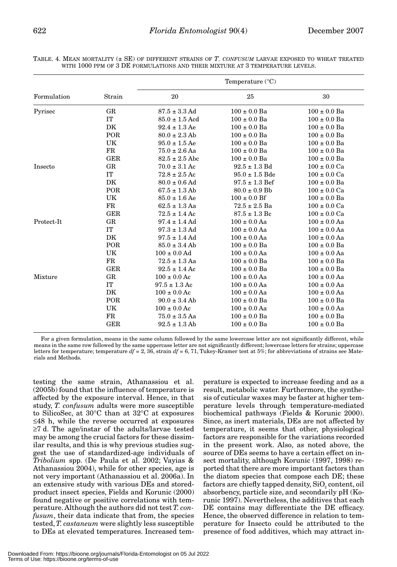| Formulation | Strain      | Temperature $(^{\circ}C)$ |                    |                  |
|-------------|-------------|---------------------------|--------------------|------------------|
|             |             | 20                        | 25                 | 30               |
| Pyrisec     | GR          | $87.5 \pm 3.3$ Ad         | $100 \pm 0.0$ Ba   | $100 \pm 0.0$ Ba |
|             | IT          | $85.0 \pm 1.5$ Acd        | $100 \pm 0.0$ Ba   | $100 \pm 0.0$ Ba |
|             | DK          | $92.4 \pm 1.3$ Ae         | $100 \pm 0.0$ Ba   | $100 \pm 0.0$ Ba |
|             | POR         | $80.0 \pm 2.3$ Ab         | $100 \pm 0.0$ Ba   | $100 \pm 0.0$ Ba |
|             | UK          | $95.0 \pm 1.5$ Ae         | $100 \pm 0.0$ Ba   | $100 \pm 0.0$ Ba |
|             | FR          | $75.0 \pm 2.6$ Aa         | $100 \pm 0.0$ Ba   | $100 \pm 0.0$ Ba |
|             | <b>GER</b>  | $82.5 \pm 2.5$ Abc        | $100 \pm 0.0$ Ba   | $100 \pm 0.0$ Ba |
| Insecto     | GR          | $70.0 \pm 3.1$ Ac         | $92.5 \pm 1.3$ Bd  | $100 \pm 0.0$ Ca |
|             | <b>IT</b>   | $72.8 \pm 2.5$ Ac         | $95.0 \pm 1.5$ Bde | $100 \pm 0.0$ Ca |
|             | DK          | $80.0 \pm 0.6$ Ad         | $97.5 \pm 1.3$ Bef | $100 \pm 0.0$ Ba |
|             | POR         | $67.5 \pm 1.3$ Ab         | $80.0 \pm 0.9$ Bb  | $100 \pm 0.0$ Ca |
|             | UK          | $85.0 \pm 1.6$ Ae         | $100 \pm 0.0$ Bf   | $100 \pm 0.0$ Ba |
|             | FR          | $62.5 \pm 1.3$ Aa         | $72.5 \pm 2.5$ Ba  | $100 \pm 0.0$ Ca |
|             | <b>GER</b>  | $72.5 \pm 1.4$ Ac         | $87.5 \pm 1.3$ Bc  | $100 \pm 0.0$ Ca |
| Protect-It  | GR          | $97.4 \pm 1.4$ Ad         | $100 \pm 0.0$ Aa   | $100 \pm 0.0$ Aa |
|             | IT          | $97.3 \pm 1.3$ Ad         | $100 \pm 0.0$ Aa   | $100 \pm 0.0$ Aa |
|             | DK          | $97.5 \pm 1.4$ Ad         | $100 \pm 0.0$ Aa   | $100 \pm 0.0$ Aa |
|             | POR         | $85.0 \pm 3.4$ Ab         | $100 \pm 0.0$ Ba   | $100 \pm 0.0$ Ba |
|             | UK          | $100 \pm 0.0$ Ad          | $100 \pm 0.0$ Aa   | $100 \pm 0.0$ Aa |
|             | $_{\rm FR}$ | $72.5 \pm 1.3$ Aa         | $100 \pm 0.0$ Ba   | $100 \pm 0.0$ Ba |
|             | <b>GER</b>  | $92.5 \pm 1.4$ Ac         | $100 \pm 0.0$ Ba   | $100 \pm 0.0$ Ba |
| Mixture     | GR          | $100 \pm 0.0$ Ac          | $100 \pm 0.0$ Aa   | $100 \pm 0.0$ Aa |
|             | IT          | $97.5 \pm 1.3$ Ac         | $100 \pm 0.0$ Aa   | $100 \pm 0.0$ Aa |
|             | DK          | $100 \pm 0.0$ Ac          | $100 \pm 0.0$ Aa   | $100 \pm 0.0$ Aa |
|             | POR         | $90.0 \pm 3.4$ Ab         | $100 \pm 0.0$ Ba   | $100 \pm 0.0$ Ba |
|             | UK          | $100 \pm 0.0$ Ac          | $100 \pm 0.0$ Aa   | $100 \pm 0.0$ Aa |
|             | $_{\rm FR}$ | $75.0 \pm 3.5$ Aa         | $100 \pm 0.0$ Ba   | $100 \pm 0.0$ Ba |
|             | <b>GER</b>  | $92.5 \pm 1.3$ Ab         | $100 \pm 0.0$ Ba   | $100 \pm 0.0$ Ba |

TABLE. 4. MEAN MORTALITY (± SE) OF DIFFERENT STRAINS OF *T. CONFUSUM* LARVAE EXPOSED TO WHEAT TREATED WITH 1000 PPM OF 3 DE FORMULATIONS AND THEIR MIXTURE AT 3 TEMPERATURE LEVELS.

For a given formulation, means in the same column followed by the same lowercase letter are not significantly different, while means in the same row followed by the same uppercase letter are not significantly different; lowercase letters for strains; uppercase letters for temperature; temperature  $df = 2$ , 36, strain  $df = 6$ , 71, Tukey-Kramer test at 5%; for abbreviations of strains see Materials and Methods.

testing the same strain, Athanassiou et al. (2005b) found that the influence of temperature is affected by the exposure interval. Hence, in that study, *T. confusum* adults were more susceptible to SilicoSec, at 30°C than at 32°C at exposures ≤48 h, while the reverse occurred at exposures ≥7 d. The age/instar of the adults/larvae tested may be among the crucial factors for these dissimilar results, and this is why previous studies suggest the use of standardized-age individuals of *Tribolium* spp. (De Paula et al. 2002; Vayias & Athanassiou 2004), while for other species, age is not very important (Athanassiou et al. 2006a). In an extensive study with various DEs and storedproduct insect species, Fields and Korunic (2000) found negative or positive correlations with temperature. Although the authors did not test *T. confusum*, their data indicate that from, the species tested, *T. castaneum* were slightly less susceptible to DEs at elevated temperatures. Increased tem-

perature is expected to increase feeding and as a result, metabolic water. Furthermore, the synthesis of cuticular waxes may be faster at higher temperature levels through temperature-mediated biochemical pathways (Fields & Korunic 2000). Since, as inert materials, DEs are not affected by temperature, it seems that other, physiological factors are responsible for the variations recorded in the present work. Also, as noted above, the source of DEs seems to have a certain effect on insect mortality, although Korunic (1997, 1998) reported that there are more important factors than the diatom species that compose each DE; these factors are chiefly tapped density,  $SiO<sub>2</sub>$  content, oil absorbency, particle size, and secondarily pH (Korunic 1997). Nevertheless, the additives that each DE contains may differentiate the DE efficacy. Hence, the observed difference in relation to temperature for Insecto could be attributed to the presence of food additives, which may attract in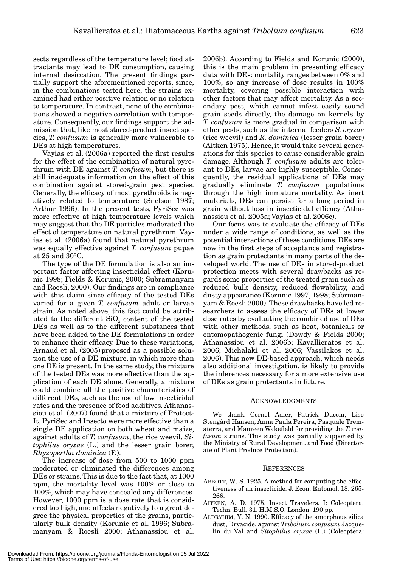sects regardless of the temperature level; food attractants may lead to DE consumption, causing internal desiccation. The present findings partially support the aforementioned reports, since, in the combinations tested here, the strains examined had either positive relation or no relation to temperature. In contrast, none of the combinations showed a negative correlation with temperature. Consequently, our findings support the admission that, like most stored-product insect species, *T. confusum* is generally more vulnerable to DEs at high temperatures.

Vayias et al. (2006a) reported the first results for the effect of the combination of natural pyrethrum with DE against *T. confusum*, but there is still inadequate information on the effect of this combination against stored-grain pest species. Generally, the efficacy of most pyrethroids is negatively related to temperature (Snelson 1987; Arthur 1996). In the present tests, PyriSec was more effective at high temperature levels which may suggest that the DE particles moderated the effect of temperature on natural pyrethrum. Vayias et al. (2006a) found that natural pyrethrum was equally effective against *T. confusum* pupae at 25 and 30°C.

The type of the DE formulation is also an important factor affecting insecticidal effect (Korunic 1998; Fields & Korunic, 2000; Subramanyam and Roesli, 2000). Our findings are in compliance with this claim since efficacy of the tested DEs varied for a given *T. confusum* adult or larvae strain. As noted above, this fact could be attributed to the different SiO<sub>2</sub> content of the tested DEs as well as to the different substances that have been added to the DE formulations in order to enhance their efficacy. Due to these variations, Arnaud et al. (2005) proposed as a possible solution the use of a DE mixture, in which more than one DE is present. In the same study, the mixture of the tested DEs was more effective than the application of each DE alone. Generally, a mixture could combine all the positive characteristics of different DEs, such as the use of low insecticidal rates and the presence of food additives. Athanassiou et al. (2007) found that a mixture of Protect-It, PyriSec and Insecto were more effective than a single DE application on both wheat and maize, against adults of *T. confusum*, the rice weevil, *Sitophilus oryzae* (L.) and the lesser grain borer, *Rhyzopertha dominica* (F.).

The increase of dose from 500 to 1000 ppm moderated or eliminated the differences among DEs or strains. This is due to the fact that, at 1000 ppm, the mortality level was 100% or close to 100%, which may have concealed any differences. However, 1000 ppm is a dose rate that is considered too high, and affects negatively to a great degree the physical properties of the grains, particularly bulk density (Korunic et al. 1996; Subramanyam & Roesli 2000; Athanassiou et al.

2006b). According to Fields and Korunic (2000), this is the main problem in presenting efficacy data with DEs: mortality ranges between 0% and 100%, so any increase of dose results in 100% mortality, covering possible interaction with other factors that may affect mortality. As a secondary pest, which cannot infest easily sound grain seeds directly, the damage on kernels by *T. confusum* is more gradual in comparison with other pests, such as the internal feeders *S. oryzae* (rice weevil) and *R. dominica* (lesser grain borer) (Aitken 1975). Hence, it would take several generations for this species to cause considerable grain damage. Although *T. confusum* adults are tolerant to DEs, larvae are highly susceptible. Consequently, the residual applications of DEs may gradually eliminate *T. confusum* populations through the high immature mortality. As inert materials, DEs can persist for a long period in grain without loss in insecticidal efficacy (Athanassiou et al. 2005a; Vayias et al. 2006c).

Our focus was to evaluate the efficacy of DEs under a wide range of conditions, as well as the potential interactions of these conditions. DEs are now in the first steps of acceptance and registration as grain protectants in many parts of the developed world. The use of DEs in stored-product protection meets with several drawbacks as regards some properties of the treated grain such as reduced bulk density, reduced flowability, and dusty appearance (Korunic 1997, 1998; Subrmanyam & Roesli 2000). These drawbacks have led researchers to assess the efficacy of DEs at lower dose rates by evaluating the combined use of DEs with other methods, such as heat, botanicals or entomopathogenic fungi (Dowdy & Fields 2000; Athanassiou et al. 2006b; Kavallieratos et al. 2006; Michalaki et al. 2006; Vassilakos et al. 2006). This new DE-based approach, which needs also additional investigation, is likely to provide the inferences necessary for a more extensive use of DEs as grain protectants in future.

#### ACKNOWLEDGMENTS

We thank Cornel Adler, Patrick Ducom, Lise Stengård Hansen, Anna Paula Pereira, Pasquale Trematerra, and Maureen Wakefield for providing the *T. confusum* strains. This study was partially supported by the Ministry of Rural Development and Food (Directorate of Plant Produce Protection).

#### **REFERENCES**

- ABBOTT, W. S. 1925. A method for computing the effectiveness of an insecticide. J. Econ. Entomol. 18: 265- 266.
- AITKEN, A. D. 1975. Insect Travelers. I: Coleoptera. Techn. Bull. 31. H.M.S.O. London. 190 pp.
- ALDRYHIM, Y. N. 1990. Efficacy of the amorphous silica dust, Dryacide, against *Tribolium confusum* Jacquelin du Val and *Sitophilus oryzae* (L.) (Coleoptera: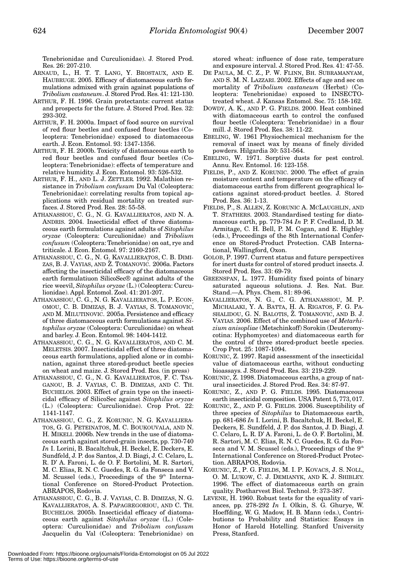Tenebrionidae and Curculionidae). J. Stored Prod. Res. 26: 207-210.

- ARNAUD, L., H. T. T. LANG, Y. BROSTAUX, AND E. HAUBRUGE. 2005. Efficacy of diatomaceous earth formulations admixed with grain against populations of *Tribolium castaneum*. J. Stored Prod. Res. 41: 121-130.
- ARTHUR, F. H. 1996. Grain protectants: current status and prospects for the future. J. Stored Prod. Res. 32: 293-302.
- ARTHUR, F. H. 2000a. Impact of food source on survival of red flour beetles and confused flour beetles (Coleoptera: Tenebrionidae) exposed to diatomaceous earth. J. Econ. Entomol. 93: 1347-1356.
- ARTHUR, F. H. 2000b. Toxicity of diatomaceous earth to red flour beetles and confused flour beetles (Coleoptera: Tenebrionidae): effects of temperature and relative humidity. J. Econ. Entomol. 93: 526-532.
- ARTHUR, F. H., AND L. J. ZETTLER. 1992. Malathion resistance in *Tribolium confusum* Du Val (Coleoptera: Tenebrionidae): correlating results from topical applications with residual mortality on treated surfaces. J. Stored Prod. Res. 28: 55-58.
- ATHANASSIOU, C. G., N. G. KAVALLIERATOS, AND N. A. ANDRIS. 2004. Insecticidal effect of three diatomaceous earth formulations against adults of *Sitophilus oryzae* (Coleoptera: Curculionidae) and *Tribolium confusum* (Coleoptera: Tenebrionidae) on oat, rye and triticale. J. Econ. Entomol. 97: 2160-2167.
- ATHANASSIOU, C. G., N. G. KAVALLIERATOS, C. B. DIMI-ZAS, B. J. VAYIAS, AND Ž. TOMANOVIĆ. 2006a. Factors affecting the insecticidal efficacy of the diatomaceous earth formulatiuon SilicoSec® against adults of the rice weevil, *Sitophilus oryzae* (L.) (Coleoptera: Curculionidae). Appl. Entomol. Zool. 41: 201-207.
- ATHANASSIOU, C. G., N. G. KAVALLIERATOS, L. P. ECON-OMOU, C. B. DIMIZAS, B. J. VAYIAS, S. TOMANOVIC, AND M. MILUTINOVIC. 2005a. Persistence and efficacy of three diatomaceous earth formulations against *Sitophilus oryzae* (Coleoptera: Curculionidae) on wheat and barley. J. Econ. Entomol. 98: 1404-1412.
- ATHANASSIOU, C. G., N. G. KAVALLIERATOS, AND C. M. MELETSIS. 2007. Insecticidal effect of three diatomaceous earth formulations, applied alone or in combination, against three stored-product beetle species on wheat and maize. J. Stored Prod. Res. (in press)
- ATHANASSIOU, C. G., N. G. KAVALLIERATOS, F. C. TSA-GANOU, B. J. VAYIAS, C. B. DIMIZAS, AND C. TH. BUCHELOS. 2003. Effect of grain type on the insecticidal efficacy of SilicoSec against *Sitophilus oryzae* (L.) (Coleoptera: Curculionidae). Crop Prot. 22: 1141-1147.
- ATHANASSIOU, C. G., Z. KORUNIC, N. G. KAVALLIERA-TOS, G. G. PETEINATOS, M. C. BOUKOUVALA, AND N. H. MIKELI. 2006b. New trends in the use of diatomaceous earth against stored-grain insects, pp. 730-740 *In* I. Lorini, B. Bacaltchuk, H. Beckel, E. Deckers, E. Sundfeld, J. P. dos Santos, J. D. Biagi, J. C. Celaro, L. R. D' A. Faroni, L. de O. F. Bortolini, M. R. Sartori, M. C. Elias, R. N. C. Guedes, R. G. da Fonseca and V. M. Scussel (eds.), Proceedings of the 9<sup>th</sup> International Conference on Stored-Product Protection. ABRAPOS, Rodovia.
- ATHANASSIOU, C. G., B. J. VAYIAS, C. B. DIMIZAS, N. G. KAVALLIERATOS, A. S. PAPAGREGORIOU, AND C. TH. BUCHELOS. 2005b. Insecticidal efficacy of diatomaceous earth against *Sitophilus oryzae* (L.) (Coleoptera: Curculionidae) and *Tribolium confusum* Jacquelin du Val (Coleoptera: Tenebrionidae) on

stored wheat: influence of dose rate, temperature and exposure interval. J. Stored Prod. Res. 41: 47-55.

- DE PAULA, M. C. Z., P. W. FLINN, BH. SUBRAMANYAM, AND S. M. N. LAZZARI. 2002. Effects of age and sec on mortality of *Tribolium castaneum* (Herbst) (Coleoptera: Tenebrionidae) exposed to INSECTOtreated wheat. J. Kansas Entomol. Soc. 75: 158-162.
- DOWDY, A. K., AND P. G. FIELDS. 2000. Heat combined with diatomaceous earth to control the confused flour beetle (Coleoptera: Tenebrionidae) in a flour mill. J. Stored Prod. Res. 38: 11-22.
- EBELING, W. 1961 Physiochemical mechanism for the removal of insect wax by means of finely divided powders. Hilgardia 30: 531-564.
- EBELING, W. 1971. Sorptive dusts for pest control. Annu. Rev. Entomol. 16: 123-158.
- FIELDS, P., AND Z. KORUNIC. 2000. The effect of grain moisture content and temperature on the efficacy of diatomaceous earths from different geographical locations against stored-product beetles. J. Stored Prod. Res. 36: 1-13.
- FIELDS, P., S. ALLEN, Z. KORUNIC A. MCLAUGHLIN, AND T. STATHERS. 2003. Standardised testing for diatomaceous earth, pp. 779-784 *In* P. F. Credland, D. M. Armitage, C. H. Bell, P. M. Cogan, and E. Highley (eds.), Proceedings of the 8th International Conference on Stored-Product Protection. CAB International, Wallingford, Oxon.
- GOLOB, P. 1997. Current status and future perspectives for inert dusts for control of stored product insects. J. Stored Prod. Res. 33: 69-79.
- GREENSPAN, L. 1977. Humidity fixed points of binary saturated aqueous solutions. J. Res. Nat. Bur. Stand.—A. Phys. Chem. 81: 89-96.
- KAVALLIERATOS, N. G., C. G. ATHANASSIOU, M. P. MICHALAKI, Y. A. BATTA, H. A. RIGATOS, F. G. PA-SHALIDOU, G. N. BALOTIS, Z. TOMANOVIĆ, AND B. J. VAYIAS. 2006. Effect of the combined use of *Metarhizium anisopliae* (Metschinkoff) Sorokin (Deuteromycotina: Hyphomycetes) and diatomaceous earth for the control of three stored-product beetle species. Crop Prot. 25: 1087-1094.
- KORUNIC, Z. 1997. Rapid assessment of the insecticidal value of diatomaceous earths, without conducting bioassays. J. Stored Prod. Res. 33: 219-229.
- KORUNIC, Z. 1998. Diatomaceous earths, a group of natural insecticides. J. Stored Prod. Res. 34: 87-97.
- KORUNIC, Z., AND P. G. FIELDS. 1995. Diatomaceous earth insecticidal composition. USA Patent 5, 773, 017.
- KORUNIC, Z., AND P. G. FIELDS. 2006. Susceptibility of three species of *Sitophilus* to Diatomaceous earth, pp. 681-686 *In* I. Lorini, B. Bacaltchuk, H. Beckel, E. Deckers, E. Sundfeld, J. P. dos Santos, J. D. Biagi, J. C. Celaro, L. R. D' A. Faroni, L. de O. F. Bortolini, M. R. Sartori, M. C. Elias, R. N. C. Guedes, R. G. da Fonseca and V. M. Scussel (eds.), Proceedings of the 9<sup>th</sup> International Conference on Stored-Product Protection. ABRAPOS, Rodovia.
- KORUNIC, Z., P. G. FIELDS, M. I. P. KOVACS, J. S. NOLL, O. M. LUKOW, C. J. DEMIANYK, AND K. J. SHIBLEY. 1996. The effect of diatomaceous earth on grain quality. Postharvest Biol. Technol. 9: 373-387.
- LEVENE, H. 1960. Robust tests for the equality of variances, pp. 278-292 *In* I. Olkin, S. G. Ghurye, W. Hoeffding, W. G. Madow, H. B. Mann (eds.), Contributions to Probability and Statistics: Essays in Honor of Harold Hotelling. Stanford University Press, Stanford.